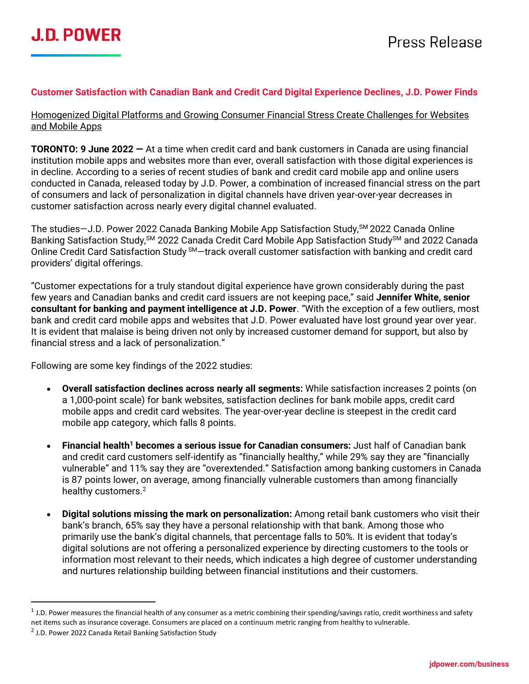### **Customer Satisfaction with Canadian Bank and Credit Card Digital Experience Declines, J.D. Power Finds**

Homogenized Digital Platforms and Growing Consumer Financial Stress Create Challenges for Websites and Mobile Apps

**TORONTO: 9 June 2022 —** At a time when credit card and bank customers in Canada are using financial institution mobile apps and websites more than ever, overall satisfaction with those digital experiences is in decline. According to a series of recent studies of bank and credit card mobile app and online users conducted in Canada, released today by J.D. Power, a combination of increased financial stress on the part of consumers and lack of personalization in digital channels have driven year-over-year decreases in customer satisfaction across nearly every digital channel evaluated.

The studies-J.D. Power 2022 Canada Banking Mobile App Satisfaction Study, <sup>SM</sup> 2022 Canada Online Banking Satisfaction Study,<sup>SM</sup> 2022 Canada Credit Card Mobile App Satisfaction Study<sup>SM</sup> and 2022 Canada Online Credit Card Satisfaction Study SM-track overall customer satisfaction with banking and credit card providers' digital offerings.

"Customer expectations for a truly standout digital experience have grown considerably during the past few years and Canadian banks and credit card issuers are not keeping pace," said **Jennifer White, senior consultant for banking and payment intelligence at J.D. Power**. "With the exception of a few outliers, most bank and credit card mobile apps and websites that J.D. Power evaluated have lost ground year over year. It is evident that malaise is being driven not only by increased customer demand for support, but also by financial stress and a lack of personalization."

Following are some key findings of the 2022 studies:

- **Overall satisfaction declines across nearly all segments:** While satisfaction increases 2 points (on a 1,000-point scale) for bank websites, satisfaction declines for bank mobile apps, credit card mobile apps and credit card websites. The year-over-year decline is steepest in the credit card mobile app category, which falls 8 points.
- **Financial health<sup>1</sup> becomes a serious issue for Canadian consumers:** Just half of Canadian bank and credit card customers self-identify as "financially healthy," while 29% say they are "financially vulnerable" and 11% say they are "overextended." Satisfaction among banking customers in Canada is 87 points lower, on average, among financially vulnerable customers than among financially healthy customers.<sup>2</sup>
- **Digital solutions missing the mark on personalization:** Among retail bank customers who visit their bank's branch, 65% say they have a personal relationship with that bank. Among those who primarily use the bank's digital channels, that percentage falls to 50%. It is evident that today's digital solutions are not offering a personalized experience by directing customers to the tools or information most relevant to their needs, which indicates a high degree of customer understanding and nurtures relationship building between financial institutions and their customers.

<sup>&</sup>lt;sup>1</sup> J.D. Power measures the financial health of any consumer as a metric combining their spending/savings ratio, credit worthiness and safety net items such as insurance coverage. Consumers are placed on a continuum metric ranging from healthy to vulnerable.

<sup>&</sup>lt;sup>2</sup> J.D. Power 2022 Canada Retail Banking Satisfaction Study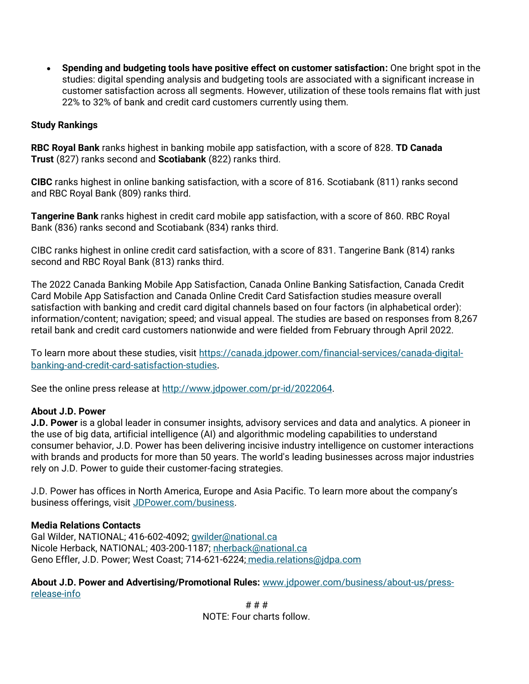• **Spending and budgeting tools have positive effect on customer satisfaction:** One bright spot in the studies: digital spending analysis and budgeting tools are associated with a significant increase in customer satisfaction across all segments. However, utilization of these tools remains flat with just 22% to 32% of bank and credit card customers currently using them.

### **Study Rankings**

**RBC Royal Bank** ranks highest in banking mobile app satisfaction, with a score of 828. **TD Canada Trust** (827) ranks second and **Scotiabank** (822) ranks third.

**CIBC** ranks highest in online banking satisfaction, with a score of 816. Scotiabank (811) ranks second and RBC Royal Bank (809) ranks third.

**Tangerine Bank** ranks highest in credit card mobile app satisfaction, with a score of 860. RBC Royal Bank (836) ranks second and Scotiabank (834) ranks third.

CIBC ranks highest in online credit card satisfaction, with a score of 831. Tangerine Bank (814) ranks second and RBC Royal Bank (813) ranks third.

The 2022 Canada Banking Mobile App Satisfaction, Canada Online Banking Satisfaction, Canada Credit Card Mobile App Satisfaction and Canada Online Credit Card Satisfaction studies measure overall satisfaction with banking and credit card digital channels based on four factors (in alphabetical order): information/content; navigation; speed; and visual appeal. The studies are based on responses from 8,267 retail bank and credit card customers nationwide and were fielded from February through April 2022.

To learn more about these studies, visit [https://canada.jdpower.com/financial-services/canada-digital](https://canada.jdpower.com/financial-services/canada-digital-banking-and-credit-card-satisfaction-studies)[banking-and-credit-card-satisfaction-studies](https://canada.jdpower.com/financial-services/canada-digital-banking-and-credit-card-satisfaction-studies).

See the online press release at [http://www.jdpower.com/pr-id/2022064.](http://www.jdpower.com/pr-id/2022064)

### **About J.D. Power**

**J.D. Power** is a global leader in consumer insights, advisory services and data and analytics. A pioneer in the use of big data, artificial intelligence (AI) and algorithmic modeling capabilities to understand consumer behavior, J.D. Power has been delivering incisive industry intelligence on customer interactions with brands and products for more than 50 years. The world's leading businesses across major industries rely on J.D. Power to guide their customer-facing strategies.

J.D. Power has offices in North America, Europe and Asia Pacific. To learn more about the company's business offerings, visit [JDPower.com/business.](https://www.jdpower.com/business)

### **Media Relations Contacts**

Gal Wilder, NATIONAL; 416-602-4092; [gwilder@national.ca](mailto:gwilder@national.ca) Nicole Herback, NATIONAL; 403-200-1187; [nherback@national.ca](mailto:nherback@national.ca) Geno Effler, J.D. Power; West Coast; 714-621-622[4;](mailto:media.relations@jdpa.com) [media.relations@jdpa.com](mailto:media.relations@jdpa.com) 

### **About J.D. Power and Advertising/Promotional Rules:** [www.jdpower.com/business/about-us/press](http://www.jdpower.com/business/about-us/press-release-info)[release-info](http://www.jdpower.com/business/about-us/press-release-info)

# # # NOTE: Four charts follow.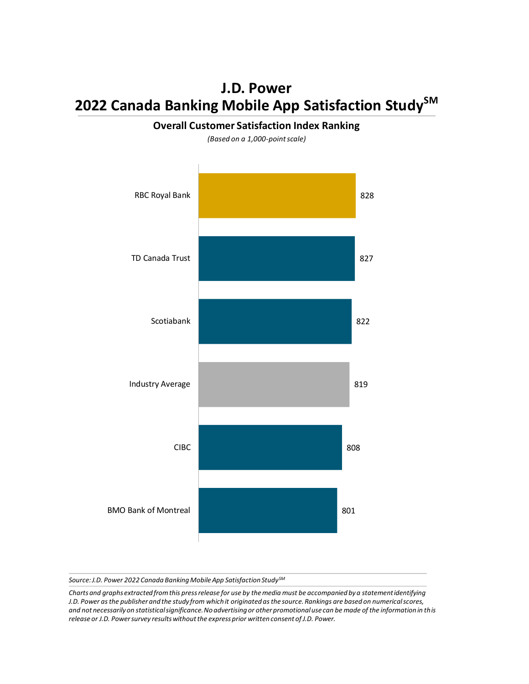## **J.D. Power 2022 Canada Banking Mobile App Satisfaction StudySM**



**Overall Customer Satisfaction Index Ranking**

*(Based on a 1,000-point scale)*

*Source: J.D. Power 2022 Canada Banking Mobile App Satisfaction StudySM*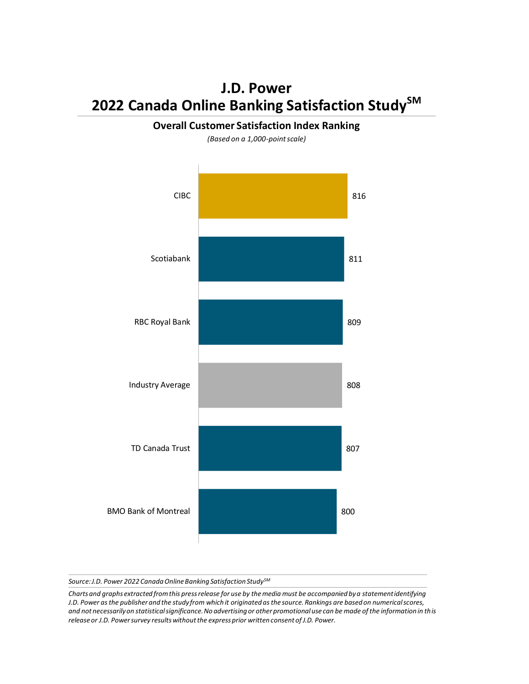# **J.D. Power 2022 Canada Online Banking Satisfaction StudySM**



**Overall Customer Satisfaction Index Ranking**

*(Based on a 1,000-point scale)*

*Source: J.D. Power 2022 Canada Online Banking Satisfaction StudySM*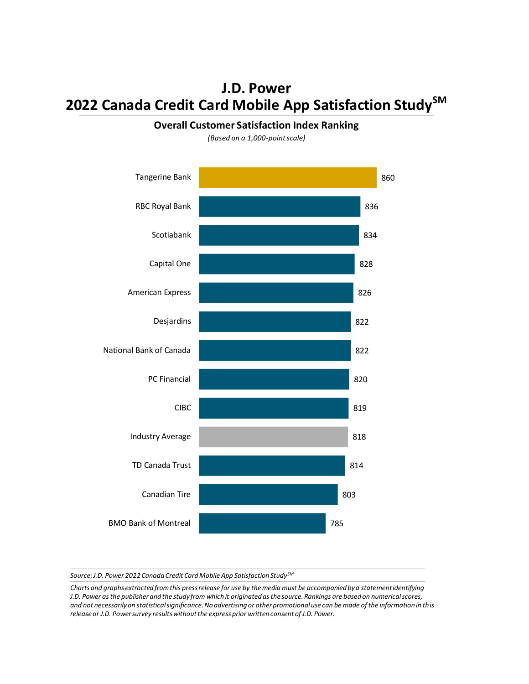## **J.D. Power 2022 Canada Credit Card Mobile App Satisfaction StudySM**

#### **Overall Customer Satisfaction Index Ranking**

*(Based on a 1,000-point scale)*



*Source: J.D. Power 2022 Canada Credit Card Mobile App Satisfaction StudySM*